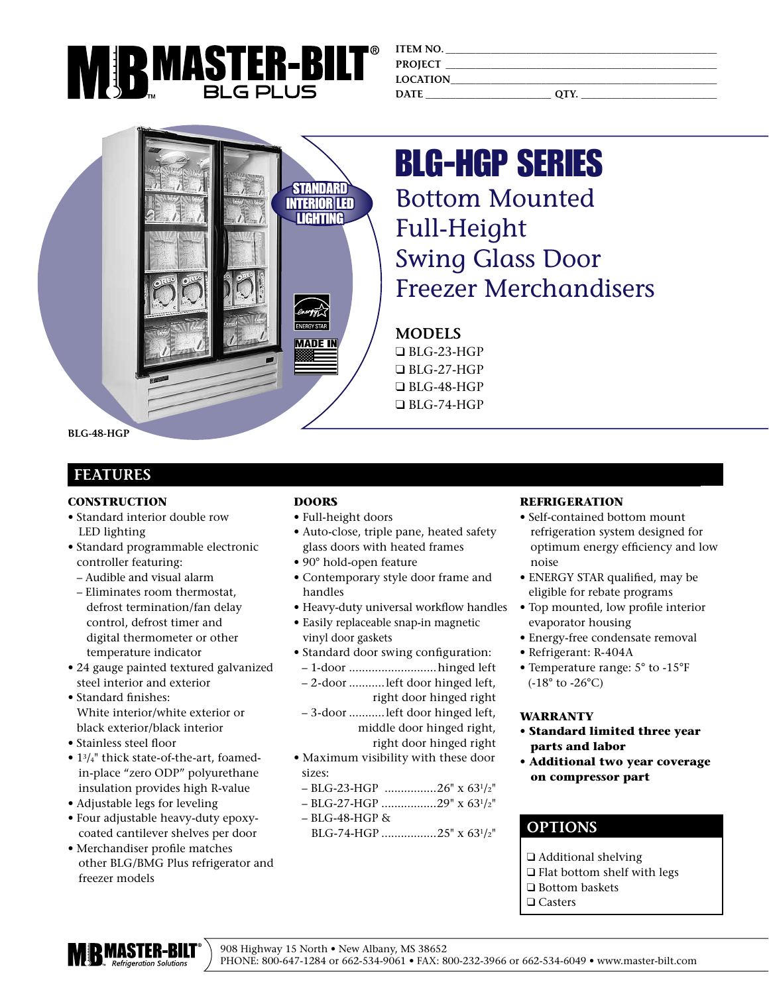

**ITEM NO. PROJECT \_\_\_\_\_\_\_\_\_\_\_\_\_\_\_\_\_\_\_\_\_\_\_\_\_\_\_\_\_\_\_\_\_\_\_\_\_\_\_\_\_\_\_\_\_\_\_\_\_\_\_\_\_\_ LOCATION\_\_\_\_\_\_\_\_\_\_\_\_\_\_\_\_\_\_\_\_\_\_\_\_\_\_\_\_\_\_\_\_\_\_\_\_\_\_\_\_\_\_\_\_\_\_\_\_\_\_\_\_\_ DATE \_\_\_\_\_\_\_\_\_\_\_\_\_\_\_\_\_\_\_\_\_\_\_\_\_ QTY. \_\_\_\_\_\_\_\_\_\_\_\_\_\_\_\_\_\_\_\_\_\_\_\_\_\_\_**

# **STANDARD INTERIOR LED LIGHTING** MANE IN

## BLG-HGP SERIES

Bottom Mounted Full-Height Swing Glass Door Freezer Merchandisers

### **MODELS**

❑ BLG-23-HGP ❑ BLG-27-HGP ❑ BLG-48-HGP ❑ BLG-74-HGP

**BLG-48-HGP**

### **FEATURES**

### **CONSTRUCTION**

- Standard interior double row LED lighting
- Standard programmable electronic controller featuring:
	- Audible and visual alarm
- Eliminates room thermostat, defrost termination/fan delay control, defrost timer and digital thermometer or other temperature indicator
- 24 gauge painted textured galvanized steel interior and exterior
- Standard finishes: White interior/white exterior or black exterior/black interior
- Stainless steel floor
- 13/4" thick state-of-the-art, foamedin-place "zero ODP" polyurethane insulation provides high R-value
- Adjustable legs for leveling
- Four adjustable heavy-duty epoxycoated cantilever shelves per door
- Merchandiser profile matches other BLG/BMG Plus refrigerator and freezer models

### **DOORS**

- Full-height doors
- Auto-close, triple pane, heated safety glass doors with heated frames
- 90° hold-open feature
- Contemporary style door frame and handles
- Heavy-duty universal workflow handles
- Easily replaceable snap-in magnetic vinyl door gaskets
- Standard door swing configuration:
- 1-door ...........................hinged left – 2-door ...........left door hinged left, right door hinged right
	-
- 3-door ...........left door hinged left, middle door hinged right, right door hinged right
- Maximum visibility with these door sizes:
- BLG-23-HGP ................26" x 631/2"
- BLG-27-HGP .................29" x 631/2"
- BLG-48-HGP &
	- BLG-74-HGP .................25" x 631/2"

### **REFRIGERATION**

- Self-contained bottom mount refrigeration system designed for optimum energy efficiency and low noise
- ENERGY STAR qualified, may be eligible for rebate programs
- Top mounted, low profile interior evaporator housing
- Energy-free condensate removal
- Refrigerant: R-404A
- Temperature range: 5° to -15°F (-18° to -26°C)

### **WARRANTY**

- **Standard limited three year parts and labor**
- **Additional two year coverage on compressor part**

### **OPTIONS**

- ❑ Additional shelving
- ❑ Flat bottom shelf with legs
- ❑ Bottom baskets
- ❑ Casters